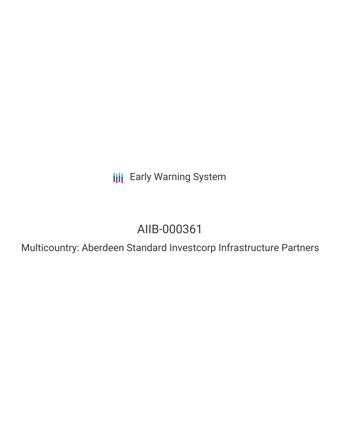**III** Early Warning System

# AIIB-000361

Multicountry: Aberdeen Standard Investcorp Infrastructure Partners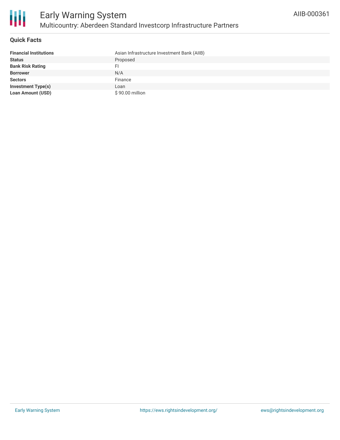

### **Quick Facts**

| <b>Financial Institutions</b> | Asian Infrastructure Investment Bank (AIIB) |
|-------------------------------|---------------------------------------------|
| <b>Status</b>                 | Proposed                                    |
| <b>Bank Risk Rating</b>       |                                             |
| <b>Borrower</b>               | N/A                                         |
| <b>Sectors</b>                | Finance                                     |
| <b>Investment Type(s)</b>     | Loan                                        |
| <b>Loan Amount (USD)</b>      | \$90.00 million                             |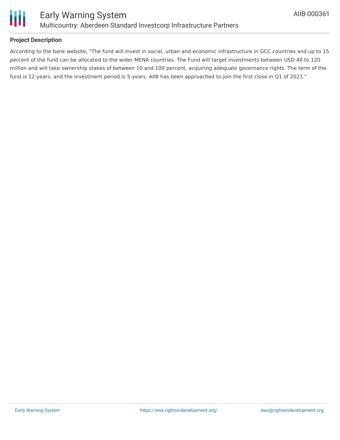

# **Project Description**

According to the bank website, "The fund will invest in social, urban and economic infrastructure in GCC countries and up to 15 percent of the fund can be allocated to the wider MENA countries. The Fund will target investments between USD 40 to 120 million and will take ownership stakes of between 10 and 100 percent, acquiring adequate governance rights. The term of the fund is 12-years, and the investment period is 5-years. AIIB has been approached to join the first close in Q1 of 2021."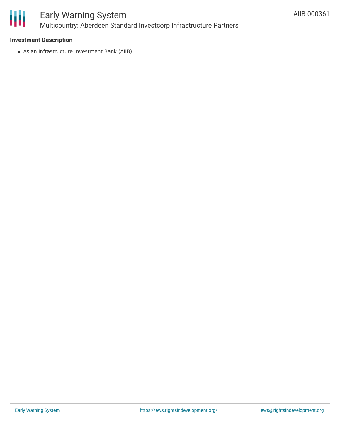

# Early Warning System Multicountry: Aberdeen Standard Investcorp Infrastructure Partners

# **Investment Description**

Asian Infrastructure Investment Bank (AIIB)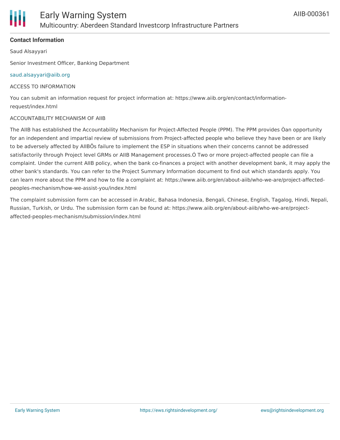# **Contact Information**

Saud Alsayyari

Senior Investment Officer, Banking Department

#### [saud.alsayyari@aiib.org](mailto:saud.alsayyari@aiib.org)

#### ACCESS TO INFORMATION

You can submit an information request for project information at: https://www.aiib.org/en/contact/informationrequest/index.html

#### ACCOUNTABILITY MECHANISM OF AIIB

The AIIB has established the Accountability Mechanism for Project-Affected People (PPM). The PPM provides Òan opportunity for an independent and impartial review of submissions from Project-affected people who believe they have been or are likely to be adversely affected by AIIBÕs failure to implement the ESP in situations when their concerns cannot be addressed satisfactorily through Project level GRMs or AIIB Management processes.Ó Two or more project-affected people can file a complaint. Under the current AIIB policy, when the bank co-finances a project with another development bank, it may apply the other bank's standards. You can refer to the Project Summary Information document to find out which standards apply. You can learn more about the PPM and how to file a complaint at: https://www.aiib.org/en/about-aiib/who-we-are/project-affectedpeoples-mechanism/how-we-assist-you/index.html

The complaint submission form can be accessed in Arabic, Bahasa Indonesia, Bengali, Chinese, English, Tagalog, Hindi, Nepali, Russian, Turkish, or Urdu. The submission form can be found at: https://www.aiib.org/en/about-aiib/who-we-are/projectaffected-peoples-mechanism/submission/index.html